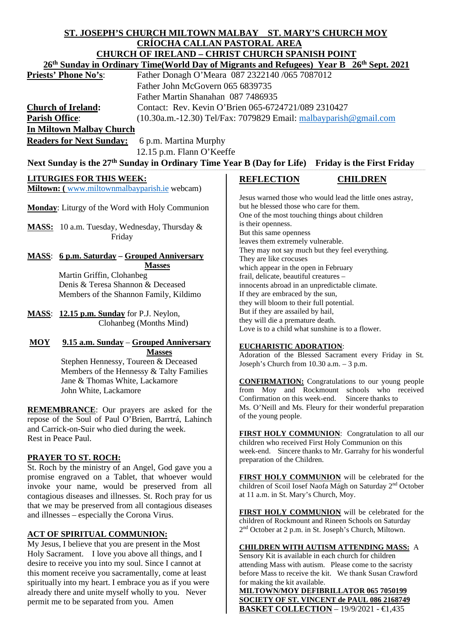# **ST. JOSEPH'S CHURCH MILTOWN MALBAY ST. MARY'S CHURCH MOY CRÍOCHA CALLAN PASTORAL AREA**

| <b>CHURCH OF IRELAND - CHRIST CHURCH SPANISH POINT</b><br>26 <sup>th</sup> Sunday in Ordinary Time(World Day of Migrants and Refugees) Year B 26 <sup>th</sup> Sept. 2021 |                                                                                                                 |
|---------------------------------------------------------------------------------------------------------------------------------------------------------------------------|-----------------------------------------------------------------------------------------------------------------|
|                                                                                                                                                                           |                                                                                                                 |
| Father John McGovern 065 6839735                                                                                                                                          |                                                                                                                 |
| Father Martin Shanahan 087 7486935                                                                                                                                        |                                                                                                                 |
| <b>Church of Ireland:</b>                                                                                                                                                 | Contact: Rev. Kevin O'Brien 065-6724721/089 2310427                                                             |
|                                                                                                                                                                           |                                                                                                                 |
| <b>Parish Office:</b>                                                                                                                                                     | (10.30a.m.-12.30) Tel/Fax: 7079829 Email: malbayparish@gmail.com                                                |
| <b>In Miltown Malbay Church</b>                                                                                                                                           |                                                                                                                 |
| <b>Readers for Next Sunday:</b><br>6 p.m. Martina Murphy                                                                                                                  |                                                                                                                 |
| 12.15 p.m. Flann O'Keeffe                                                                                                                                                 |                                                                                                                 |
| Next Sunday is the 27 <sup>th</sup> Sunday in Ordinary Time Year B (Day for Life)<br><b>Friday is the First Friday</b>                                                    |                                                                                                                 |
| <b>LITURGIES FOR THIS WEEK:</b>                                                                                                                                           | <b>REFLECTION</b><br><b>CHILDREN</b>                                                                            |
| Miltown: (www.miltownmalbayparish.ie webcam)                                                                                                                              |                                                                                                                 |
|                                                                                                                                                                           | Jesus warned those who would lead the little ones astray,                                                       |
| Monday: Liturgy of the Word with Holy Communion                                                                                                                           | but he blessed those who care for them.                                                                         |
|                                                                                                                                                                           | One of the most touching things about children                                                                  |
| MASS: 10 a.m. Tuesday, Wednesday, Thursday &                                                                                                                              | is their openness.                                                                                              |
| Friday                                                                                                                                                                    | But this same openness                                                                                          |
|                                                                                                                                                                           | leaves them extremely vulnerable.                                                                               |
| <b>MASS:</b> 6 p.m. Saturday – Grouped Anniversary                                                                                                                        | They may not say much but they feel everything.                                                                 |
| <b>Masses</b>                                                                                                                                                             | They are like crocuses<br>which appear in the open in February                                                  |
| Martin Griffin, Clohanbeg                                                                                                                                                 | frail, delicate, beautiful creatures -                                                                          |
| Denis & Teresa Shannon & Deceased                                                                                                                                         | innocents abroad in an unpredictable climate.                                                                   |
| Members of the Shannon Family, Kildimo                                                                                                                                    | If they are embraced by the sun,                                                                                |
|                                                                                                                                                                           | they will bloom to their full potential.                                                                        |
| MASS: 12.15 p.m. Sunday for P.J. Neylon,                                                                                                                                  | But if they are assailed by hail,                                                                               |
| Clohanbeg (Months Mind)                                                                                                                                                   | they will die a premature death.                                                                                |
|                                                                                                                                                                           | Love is to a child what sunshine is to a flower.                                                                |
| <b>MOY</b><br>9.15 a.m. Sunday – Grouped Anniversary                                                                                                                      |                                                                                                                 |
| <b>Masses</b>                                                                                                                                                             | <b>EUCHARISTIC ADORATION:</b><br>Adoration of the Blessed Sacrament every Friday in St.                         |
| Stephen Hennessy, Toureen & Deceased                                                                                                                                      | Joseph's Church from 10.30 a.m. - 3 p.m.                                                                        |
| Members of the Hennessy & Talty Families                                                                                                                                  |                                                                                                                 |
| Jane & Thomas White, Lackamore                                                                                                                                            | <b>CONFIRMATION:</b> Congratulations to our young people                                                        |
| John White, Lackamore                                                                                                                                                     | from Moy and Rockmount schools who received                                                                     |
|                                                                                                                                                                           | Confirmation on this week-end.<br>Sincere thanks to                                                             |
| <b>REMEMBRANCE:</b> Our prayers are asked for the                                                                                                                         | Ms. O'Neill and Ms. Fleury for their wonderful preparation                                                      |
| repose of the Soul of Paul O'Brien, Barrtrá, Lahinch                                                                                                                      | of the young people.                                                                                            |
| and Carrick-on-Suir who died during the week.                                                                                                                             |                                                                                                                 |
| Rest in Peace Paul.                                                                                                                                                       | FIRST HOLY COMMUNION: Congratulation to all our                                                                 |
|                                                                                                                                                                           | children who received First Holy Communion on this<br>week-end. Sincere thanks to Mr. Garrahy for his wonderful |
| <b>PRAYER TO ST. ROCH:</b>                                                                                                                                                | preparation of the Children.                                                                                    |
| St. Roch by the ministry of an Angel, God gave you a                                                                                                                      |                                                                                                                 |
| promise engraved on a Tablet, that whoever would                                                                                                                          | FIRST HOLY COMMUNION will be celebrated for the                                                                 |
| invoke your name, would be preserved from all                                                                                                                             | children of Scoil Iosef Naofa Mágh on Saturday 2 <sup>nd</sup> October                                          |
| contagious diseases and illnesses. St. Roch pray for us                                                                                                                   | at 11 a.m. in St. Mary's Church, Moy.                                                                           |
| that we may be preserved from all contagious diseases                                                                                                                     |                                                                                                                 |

and illnesses – especially the Corona Virus.

**ACT OF SPIRITUAL COMMUNION:** 

permit me to be separated from you. Amen

My Jesus, I believe that you are present in the Most Holy Sacrament. I love you above all things, and I desire to receive you into my soul. Since I cannot at this moment receive you sacramentally, come at least spiritually into my heart. I embrace you as if you were already there and unite myself wholly to you. Never

**FIRST HOLY COMMUNION** will be celebrated for the children of Rockmount and Rineen Schools on Saturday 2nd October at 2 p.m. in St. Joseph's Church, Miltown.

## **CHILDREN WITH AUTISM ATTENDING MASS:** A

Sensory Kit is available in each church for children attending Mass with autism. Please come to the sacristy before Mass to receive the kit. We thank Susan Crawford for making the kit available.

**MILTOWN/MOY DEFIBRILLATOR 065 7050199 SOCIETY OF ST. VINCENT de PAUL 086 2168749 BASKET COLLECTION** – 19/9/2021 - €1,435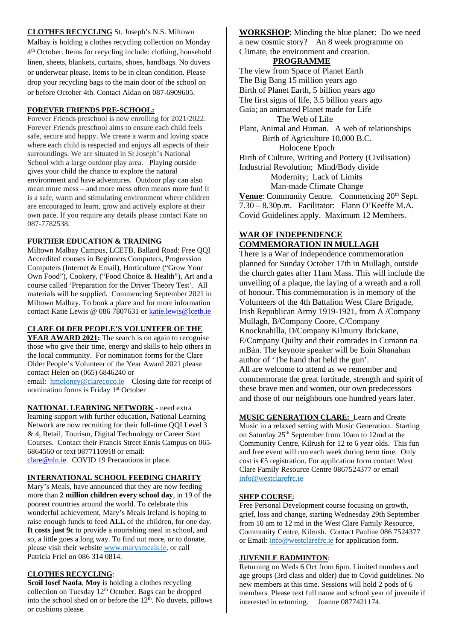## **CLOTHES RECYCLING** St. Joseph's N.S. Miltown Malbay is holding a clothes recycling collection on Monday 4th October. Items for recycling include: clothing, household linen, sheets, blankets, curtains, shoes, handbags. No duvets or underwear please. Items to be in clean condition. Please drop your recycling bags to the main door of the school on or before October 4th. Contact Aidan on 087-6909605.

## **FOREVER FRIENDS PRE-SCHOOL:**

Forever Friends preschool is now enrolling for 2021/2022. Forever Friends preschool aims to ensure each child feels safe, secure and happy. We create a warm and loving space where each child is respected and enjoys all aspects of their surroundings. We are situated in St Joseph's National School with a large outdoor play area. Playing outside gives your child the chance to explore the natural environment and have adventures. Outdoor play can also mean more mess – and more mess often means more fun! It is a safe, warm and stimulating environment where children are encouraged to learn, grow and actively explore at their own pace. If you require any details please contact Kate on 087-7782538.

#### **FURTHER EDUCATION & TRAINING**

Miltown Malbay Campus, LCETB, Ballard Road: Free QQI Accredited courses in Beginners Computers, Progression Computers (Internet & Email), Horticulture ("Grow Your Own Food"), Cookery, ("Food Choice & Health"), Art and a course called 'Preparation for the Driver Theory Test'. All materials will be supplied. Commencing September 2021 in Miltown Malbay. To book a place and for more information contact Katie Lewis @ 086 7807631 or [katie.lewis@lcetb.ie](mailto:katie.lewis@lcetb.ie)

#### **CLARE OLDER PEOPLE'S VOLUNTEER OF THE**

**YEAR AWARD 2021:** The search is on again to recognise those who give their time, energy and skills to help others in the local community. For nomination forms for the Clare Older People's Volunteer of the Year Award 2021 please contact Helen on (065) 6846240 or

email: [hmoloney@clarecoco.ie](mailto:hmoloney@clarecoco.ie) Closing date for receipt of nomination forms is Friday 1<sup>st</sup> October

**NATIONAL LEARNING NETWORK** - need extra learning support with further education, National Learning Network are now recruiting for their full-time QQI Level 3 & 4, Retail, Tourism, Digital Technology or Career Start Courses. Contact their Francis Street Ennis Campus on 065- 6864560 or text 0877110918 or email: [clare@nln.ie.](mailto:clare@nln.ie) COVID 19 Precautions in place.

#### **INTERNATIONAL SCHOOL FEEDING CHARITY**

Mary's Meals, have announced that they are now feeding more than **2 million children every school day**, in 19 of the poorest countries around the world. To celebrate this wonderful achievement, Mary's Meals Ireland is hoping to raise enough funds to feed **ALL** of the children, for one day. **It costs just 9c** to provide a nourishing meal in school, and so, a little goes a long way. To find out more, or to donate, please visit their website [www.marysmeals.ie,](http://www.marysmeals.ie/) or call Patricia Friel on 086 314 0814.

#### **CLOTHES RECYCLING**:

**Scoil Iosef Naofa**, **Moy** is holding a clothes recycling collection on Tuesday 12<sup>th</sup> October. Bags can be dropped into the school shed on or before the 12<sup>th</sup>. No duvets, pillows or cushions please.

**WORKSHOP**; Minding the blue planet: Do we need a new cosmic story? An 8 week programme on Climate, the environment and creation.

#### **PROGRAMME**

The view from Space of Planet Earth The Big Bang 15 million years ago Birth of Planet Earth, 5 billion years ago The first signs of life, 3.5 billion years ago Gaia; an animated Planet made for Life The Web of Life Plant, Animal and Human. A web of relationships Birth of Agriculture 10,000 B.C. Holocene Epoch Birth of Culture, Writing and Pottery (Civilisation) Industrial Revolution; Mind/Body divide Modernity; Lack of Limits Man-made Climate Change Venue: Community Centre. Commencing 20<sup>th</sup> Sept. 7.30 – 8.30p.m. Facilitator: Flann O'Keeffe M.A. Covid Guidelines apply. Maximum 12 Members.

# **WAR OF INDEPENDENCE COMMEMORATION IN MULLAGH**

There is a War of Independence commemoration planned for Sunday October 17th in Mullagh, outside the church gates after 11am Mass. This will include the unveiling of a plaque, the laying of a wreath and a roll of honour. This commemoration is in memory of the Volunteers of the 4th Battalion West Clare Brigade, Irish Republican Army 1919-1921, from A /Company Mullagh, B/Company Coore, C/Company Knocknahilla, D/Company Kilmurry Ibrickane, E/Company Quilty and their comrades in Cumann na mBán. The keynote speaker will be Eoin Shanahan author of 'The hand that held the gun'. All are welcome to attend as we remember and commemorate the great fortitude, strength and spirit of these brave men and women, our own predecessors and those of our neighbours one hundred years later.

**MUSIC GENERATION CLARE:** Learn and Create Music in a relaxed setting with Music Generation. Starting on Saturday 25th September from 10am to 12md at the Community Centre, Kilrush for 12 to 6 year olds. This fun and free event will run each week during term time. Only cost is €5 registration. For application form contact West Clare Family Resource Centre 0867524377 or email [info@westclarefrc.ie](mailto:info@westclarefrc.ie)

#### **SHEP COURSE**:

Free Personal Development course focusing on growth, grief, loss and change, starting Wednesday 29th September from 10 am to 12 md in the West Clare Family Resource, Community Centre, Kilrush. Contact Pauline 086 7524377 or Email[: info@westclarefrc.ie](mailto:info@westclarefrc.ie) for application form.

#### **JUVENILE BADMINTON**:

Returning on Weds 6 Oct from 6pm. Limited numbers and age groups (3rd class and older) due to Covid guidelines. No new members at this time. Sessions will hold 2 pods of 6 members. Please text full name and school year of juvenile if interested in returning. Joanne 0877421174.